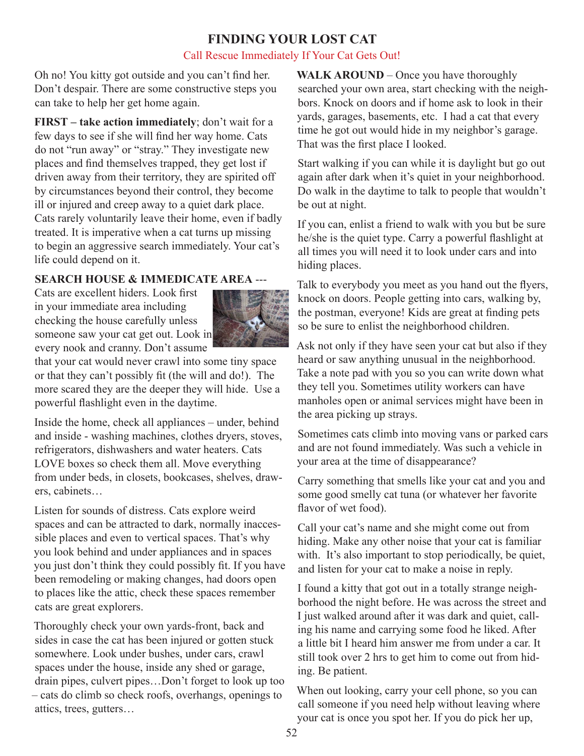## **FINDING YOUR LOST CAT**

#### Call Rescue Immediately If Your Cat Gets Out!

Oh no! You kitty got outside and you can't find her. Don't despair. There are some constructive steps you can take to help her get home again.

**FIRST** – take action immediately; don't wait for a few days to see if she will find her way home. Cats do not "run away" or "stray." They investigate new places and find themselves trapped, they get lost if driven away from their territory, they are spirited off by circumstances beyond their control, they become ill or injured and creep away to a quiet dark place. Cats rarely voluntarily leave their home, even if badly treated. It is imperative when a cat turns up missing to begin an aggressive search immediately. Your cat's life could depend on it.

### **SEARCH HOUSE & IMMEDICATE AREA** ---

Cats are excellent hiders. Look first in your immediate area including checking the house carefully unless someone saw your cat get out. Look in every nook and cranny. Don't assume



that your cat would never crawl into some tiny space or that they can't possibly fit (the will and do!). The more scared they are the deeper they will hide. Use a powerful flashlight even in the daytime.

Inside the home, check all appliances – under, behind and inside - washing machines, clothes dryers, stoves, refrigerators, dishwashers and water heaters. Cats LOVE boxes so check them all. Move everything from under beds, in closets, bookcases, shelves, drawers, cabinets…

Listen for sounds of distress. Cats explore weird spaces and can be attracted to dark, normally inaccessible places and even to vertical spaces. That's why you look behind and under appliances and in spaces you just don't think they could possibly fit. If you have been remodeling or making changes, had doors open to places like the attic, check these spaces remember cats are great explorers.

Thoroughly check your own yards-front, back and sides in case the cat has been injured or gotten stuck somewhere. Look under bushes, under cars, crawl spaces under the house, inside any shed or garage, drain pipes, culvert pipes…Don't forget to look up too – cats do climb so check roofs, overhangs, openings to attics, trees, gutters…

**WALK AROUND** – Once you have thoroughly searched your own area, start checking with the neighbors. Knock on doors and if home ask to look in their yards, garages, basements, etc. I had a cat that every time he got out would hide in my neighbor's garage. That was the first place I looked.

Start walking if you can while it is daylight but go out again after dark when it's quiet in your neighborhood. Do walk in the daytime to talk to people that wouldn't be out at night.

If you can, enlist a friend to walk with you but be sure he/she is the quiet type. Carry a powerful flashlight at all times you will need it to look under cars and into hiding places.

Talk to everybody you meet as you hand out the flyers, knock on doors. People getting into cars, walking by, the postman, everyone! Kids are great at finding pets so be sure to enlist the neighborhood children.

Ask not only if they have seen your cat but also if they heard or saw anything unusual in the neighborhood. Take a note pad with you so you can write down what they tell you. Sometimes utility workers can have manholes open or animal services might have been in the area picking up strays.

Sometimes cats climb into moving vans or parked cars and are not found immediately. Was such a vehicle in your area at the time of disappearance?

Carry something that smells like your cat and you and some good smelly cat tuna (or whatever her favorite flavor of wet food).

Call your cat's name and she might come out from hiding. Make any other noise that your cat is familiar with. It's also important to stop periodically, be quiet, and listen for your cat to make a noise in reply.

I found a kitty that got out in a totally strange neighborhood the night before. He was across the street and I just walked around after it was dark and quiet, calling his name and carrying some food he liked. After a little bit I heard him answer me from under a car. It still took over 2 hrs to get him to come out from hiding. Be patient.

When out looking, carry your cell phone, so you can call someone if you need help without leaving where your cat is once you spot her. If you do pick her up,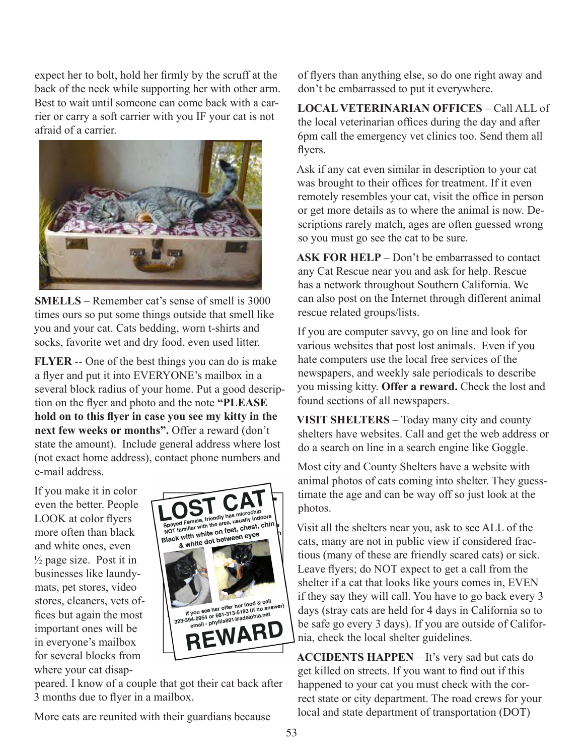expect her to bolt, hold her firmly by the scruff at the back of the neck while supporting her with other arm. Best to wait until someone can come back with a carrier or carry a soft carrier with you IF your cat is not afraid of a carrier.



**SMELLS** – Remember cat's sense of smell is 3000 times ours so put some things outside that smell like you and your cat. Cats bedding, worn t-shirts and socks, favorite wet and dry food, even used litter.

**FLYER** -- One of the best things you can do is make a flyer and put it into EVERYONE's mailbox in a several block radius of your home. Put a good description on the flyer and photo and the note **"PLEASE hold on to this flyer in case you see my kitty in the next few weeks or months".** Offer a reward (don't state the amount). Include general address where lost (not exact home address), contact phone numbers and e-mail address.

If you make it in color even the better. People LOOK at color flyers more often than black and white ones, even  $\frac{1}{2}$  page size. Post it in businesses like laundymats, pet stores, video stores, cleaners, vets offices but again the most important ones will be in everyone's mailbox for several blocks from where your cat disap-



peared. I know of a couple that got their cat back after 3 months due to flyer in a mailbox.

More cats are reunited with their guardians because

of flyers than anything else, so do one right away and don't be embarrassed to put it everywhere.

**LOCAL VETERINARIAN OFFICES** – Call ALL of the local veterinarian offices during the day and after 6pm call the emergency vet clinics too. Send them all flyers.

Ask if any cat even similar in description to your cat was brought to their offices for treatment. If it even remotely resembles your cat, visit the office in person or get more details as to where the animal is now. Descriptions rarely match, ages are often guessed wrong so you must go see the cat to be sure.

**ASK FOR HELP** – Don't be embarrassed to contact any Cat Rescue near you and ask for help. Rescue has a network throughout Southern California. We can also post on the Internet through different animal rescue related groups/lists.

If you are computer savvy, go on line and look for various websites that post lost animals. Even if you hate computers use the local free services of the newspapers, and weekly sale periodicals to describe you missing kitty. **Offer a reward.** Check the lost and found sections of all newspapers.

**VISIT SHELTERS** – Today many city and county shelters have websites. Call and get the web address or do a search on line in a search engine like Goggle.

Most city and County Shelters have a website with animal photos of cats coming into shelter. They guesstimate the age and can be way off so just look at the photos.

Visit all the shelters near you, ask to see ALL of the cats, many are not in public view if considered fractious (many of these are friendly scared cats) or sick. Leave flyers; do NOT expect to get a call from the shelter if a cat that looks like yours comes in, EVEN if they say they will call. You have to go back every 3 days (stray cats are held for 4 days in California so to be safe go every 3 days). If you are outside of California, check the local shelter guidelines.

**ACCIDENTS HAPPEN** – It's very sad but cats do get killed on streets. If you want to find out if this happened to your cat you must check with the correct state or city department. The road crews for your local and state department of transportation (DOT)